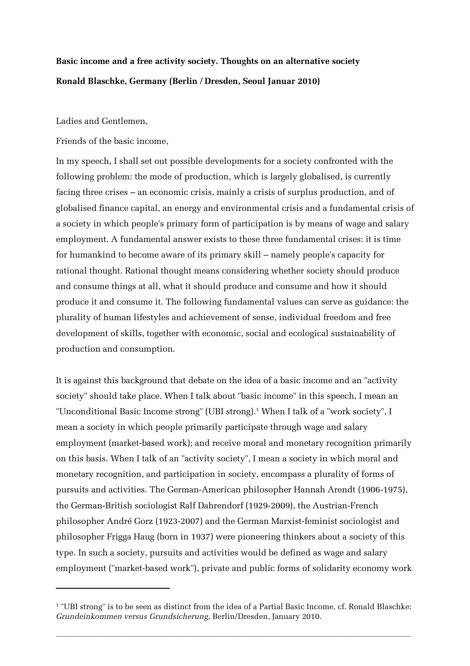## **Basic income and a free activity society. Thoughts on an alternative society Ronald Blaschke, Germany (Berlin / Dresden, Seoul Januar 2010)**

Ladies and Gentlemen,

Friends of the basic income,

In my speech, I shall set out possible developments for a society confronted with the following problem: the mode of production, which is largely globalised, is currently facing three crises – an economic crisis, mainly a crisis of surplus production, and of globalised finance capital, an energy and environmental crisis and a fundamental crisis of a society in which people's primary form of participation is by means of wage and salary employment. A fundamental answer exists to these three fundamental crises: it is time for humankind to become aware of its primary skill – namely people's capacity for rational thought. Rational thought means considering whether society should produce and consume things at all, what it should produce and consume and how it should produce it and consume it. The following fundamental values can serve as guidance: the plurality of human lifestyles and achievement of sense, individual freedom and free development of skills, together with economic, social and ecological sustainability of production and consumption.

It is against this background that debate on the idea of a basic income and an "activity society" should take place. When I talk about "basic income" in this speech, I mean an "Unconditional Basic Income strong" (UBI strong).<sup>[1](#page-0-0)</sup> When I talk of a "work society", I mean a society in which people primarily participate through wage and salary employment (market-based work); and receive moral and monetary recognition primarily on this basis. When I talk of an "activity society", I mean a society in which moral and monetary recognition, and participation in society, encompass a plurality of forms of pursuits and activities. The German-American philosopher Hannah Arendt (1906-1975), the German-British sociologist Ralf Dahrendorf (1929-2009), the Austrian-French philosopher André Gorz (1923-2007) and the German Marxist-feminist sociologist and philosopher Frigga Haug (born in 1937) were pioneering thinkers about a society of this type. In such a society, pursuits and activities would be defined as wage and salary employment ("market-based work"), private and public forms of solidarity economy work

 $\overline{a}$  ,  $\overline{a}$  ,  $\overline{a}$  ,  $\overline{a}$  ,  $\overline{a}$  ,  $\overline{a}$  ,  $\overline{a}$  ,  $\overline{a}$  ,  $\overline{a}$  ,  $\overline{a}$  ,  $\overline{a}$  ,  $\overline{a}$  ,  $\overline{a}$  ,  $\overline{a}$  ,  $\overline{a}$  ,  $\overline{a}$  ,  $\overline{a}$  ,  $\overline{a}$  ,  $\overline{a}$  ,  $\overline{a}$  ,

<span id="page-0-0"></span><sup>1</sup> "UBI strong" is to be seen as distinct from the idea of a Partial Basic Income, cf. Ronald Blaschke: *Grundeinkommen versus Grundsicherung*, Berlin/Dresden, January 2010.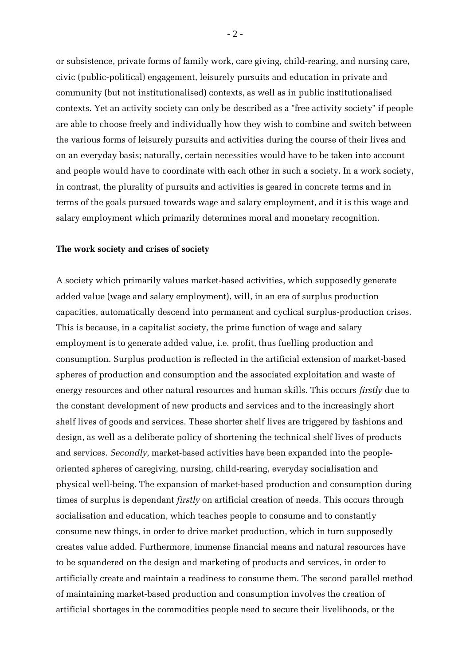or subsistence, private forms of family work, care giving, child-rearing, and nursing care, civic (public-political) engagement, leisurely pursuits and education in private and community (but not institutionalised) contexts, as well as in public institutionalised contexts. Yet an activity society can only be described as a "free activity society" if people are able to choose freely and individually how they wish to combine and switch between the various forms of leisurely pursuits and activities during the course of their lives and on an everyday basis; naturally, certain necessities would have to be taken into account and people would have to coordinate with each other in such a society. In a work society, in contrast, the plurality of pursuits and activities is geared in concrete terms and in terms of the goals pursued towards wage and salary employment, and it is this wage and salary employment which primarily determines moral and monetary recognition.

## **The work society and crises of society**

A society which primarily values market-based activities, which supposedly generate added value (wage and salary employment), will, in an era of surplus production capacities, automatically descend into permanent and cyclical surplus-production crises. This is because, in a capitalist society, the prime function of wage and salary employment is to generate added value, i.e. profit, thus fuelling production and consumption. Surplus production is reflected in the artificial extension of market-based spheres of production and consumption and the associated exploitation and waste of energy resources and other natural resources and human skills. This occurs *firstly* due to the constant development of new products and services and to the increasingly short shelf lives of goods and services. These shorter shelf lives are triggered by fashions and design, as well as a deliberate policy of shortening the technical shelf lives of products and services. *Secondly,* market-based activities have been expanded into the peopleoriented spheres of caregiving, nursing, child-rearing, everyday socialisation and physical well-being. The expansion of market-based production and consumption during times of surplus is dependant *firstly* on artificial creation of needs. This occurs through socialisation and education, which teaches people to consume and to constantly consume new things, in order to drive market production, which in turn supposedly creates value added. Furthermore, immense financial means and natural resources have to be squandered on the design and marketing of products and services, in order to artificially create and maintain a readiness to consume them. The second parallel method of maintaining market-based production and consumption involves the creation of artificial shortages in the commodities people need to secure their livelihoods, or the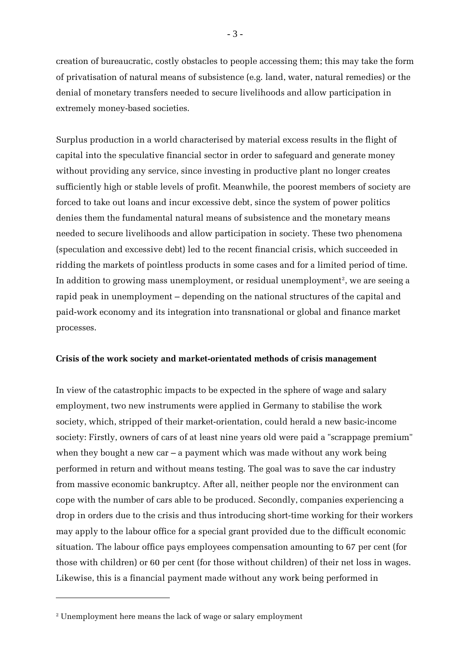creation of bureaucratic, costly obstacles to people accessing them; this may take the form of privatisation of natural means of subsistence (e.g. land, water, natural remedies) or the denial of monetary transfers needed to secure livelihoods and allow participation in extremely money-based societies.

Surplus production in a world characterised by material excess results in the flight of capital into the speculative financial sector in order to safeguard and generate money without providing any service, since investing in productive plant no longer creates sufficiently high or stable levels of profit. Meanwhile, the poorest members of society are forced to take out loans and incur excessive debt, since the system of power politics denies them the fundamental natural means of subsistence and the monetary means needed to secure livelihoods and allow participation in society. These two phenomena (speculation and excessive debt) led to the recent financial crisis, which succeeded in ridding the markets of pointless products in some cases and for a limited period of time. In addition to growing mass unemployment[,](#page-2-0) or residual unemployment $^{\rm 2}$ , we are seeing a rapid peak in unemployment – depending on the national structures of the capital and paid-work economy and its integration into transnational or global and finance market processes.

## **Crisis of the work society and market-orientated methods of crisis management**

In view of the catastrophic impacts to be expected in the sphere of wage and salary employment, two new instruments were applied in Germany to stabilise the work society, which, stripped of their market-orientation, could herald a new basic-income society: Firstly, owners of cars of at least nine years old were paid a "scrappage premium" when they bought a new car  $-$  a payment which was made without any work being performed in return and without means testing. The goal was to save the car industry from massive economic bankruptcy. After all, neither people nor the environment can cope with the number of cars able to be produced. Secondly, companies experiencing a drop in orders due to the crisis and thus introducing short-time working for their workers may apply to the labour office for a special grant provided due to the difficult economic situation. The labour office pays employees compensation amounting to 67 per cent (for those with children) or 60 per cent (for those without children) of their net loss in wages. Likewise, this is a financial payment made without any work being performed in

<span id="page-2-0"></span><sup>2</sup> Unemployment here means the lack of wage or salary employment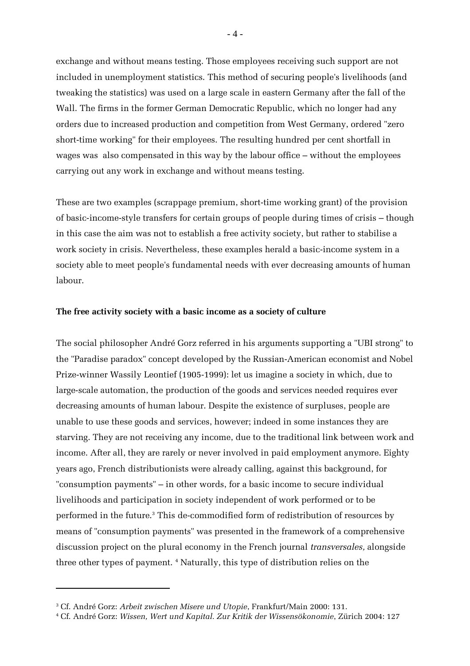exchange and without means testing. Those employees receiving such support are not included in unemployment statistics. This method of securing people's livelihoods (and tweaking the statistics) was used on a large scale in eastern Germany after the fall of the Wall. The firms in the former German Democratic Republic, which no longer had any orders due to increased production and competition from West Germany, ordered "zero short-time working" for their employees. The resulting hundred per cent shortfall in wages was also compensated in this way by the labour office – without the employees carrying out any work in exchange and without means testing.

These are two examples (scrappage premium, short-time working grant) of the provision of basic-income-style transfers for certain groups of people during times of crisis – though in this case the aim was not to establish a free activity society, but rather to stabilise a work society in crisis. Nevertheless, these examples herald a basic-income system in a society able to meet people's fundamental needs with ever decreasing amounts of human labour.

## **The free activity society with a basic income as a society of culture**

The social philosopher André Gorz referred in his arguments supporting a "UBI strong" to the "Paradise paradox" concept developed by the Russian-American economist and Nobel Prize-winner Wassily Leontief (1905-1999): let us imagine a society in which, due to large-scale automation, the production of the goods and services needed requires ever decreasing amounts of human labour. Despite the existence of surpluses, people are unable to use these goods and services, however; indeed in some instances they are starving. They are not receiving any income, due to the traditional link between work and income. After all, they are rarely or never involved in paid employment anymore. Eighty years ago, French distributionists were already calling, against this background, for "consumption payments" – in other words, for a basic income to secure individual livelihoods and participation in society independent of work performed or to be performed in the future.[3](#page-3-0) This de-commodified form of redistribution of resources by means of "consumption payments" was presented in the framework of a comprehensive discussion project on the plural economy in the French journal *transversales,* alongside three other types of payment. [4](#page-3-1) Naturally, this type of distribution relies on the

 $-4-$ 

<span id="page-3-1"></span><span id="page-3-0"></span><sup>3</sup> Cf. André Gorz: *Arbeit zwischen Misere und Utopie*, Frankfurt/Main 2000: 131.

<sup>4</sup> Cf. André Gorz: *Wissen, Wert und Kapital. Zur Kritik der Wissensökonomie*, Zürich 2004: 127